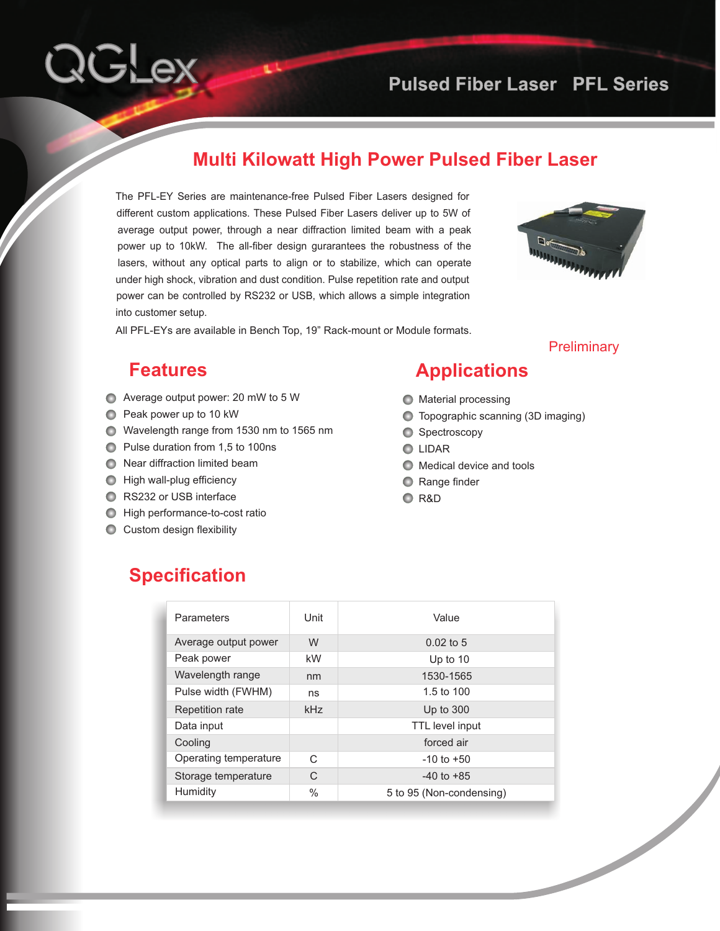#### **Multi Kilowatt High Power Pulsed Fiber Laser**

The PFL-EY Series are maintenance-free Pulsed Fiber Lasers designed for different custom applications. These Pulsed Fiber Lasers deliver up to 5W of average output power, through a near diffraction limited beam with a peak power up to 10kW. The all-fiber design gurarantees the robustness of the lasers, without any optical parts to align or to stabilize, which can operate under high shock, vibration and dust condition. Pulse repetition rate and output power can be controlled by RS232 or USB, which allows a simple integration into customer setup.



**Preliminary** 

All PFL-EYs are available in Bench Top, 19" Rack-mount or Module formats.

#### **Features**

QGLex

- Average output power: 20 mW to 5 W
- **Peak power up to 10 kW**
- Wavelength range from 1530 nm to 1565 nm
- **Pulse duration from 1,5 to 100ns**
- **●** Near diffraction limited beam
- $\bigcirc$  High wall-plug efficiency
- **RS232 or USB interface**
- **High performance-to-cost ratio**
- **C** Custom design flexibility

### **Applications**

- **O** Material processing
- Topographic scanning (3D imaging)
- Spectroscopy
- **O** LIDAR
- $\bigcirc$  Medical device and tools
- **C** Range finder
- R&D

#### **Specification**

| Parameters            | Unit         | Value                    |
|-----------------------|--------------|--------------------------|
| Average output power  | W            | $0.02$ to 5              |
| Peak power            | kW           | Up to 10                 |
| Wavelength range      | nm           | 1530-1565                |
| Pulse width (FWHM)    | ns           | 1.5 to 100               |
| Repetition rate       | kHz          | Up to 300                |
| Data input            |              | TTL level input          |
| Cooling               |              | forced air               |
| Operating temperature | $\mathsf{C}$ | $-10$ to $+50$           |
| Storage temperature   | $\mathsf{C}$ | $-40$ to $+85$           |
| Humidity              | $\%$         | 5 to 95 (Non-condensing) |
|                       |              |                          |
|                       |              |                          |
|                       |              |                          |
|                       |              |                          |
|                       |              |                          |
|                       |              |                          |